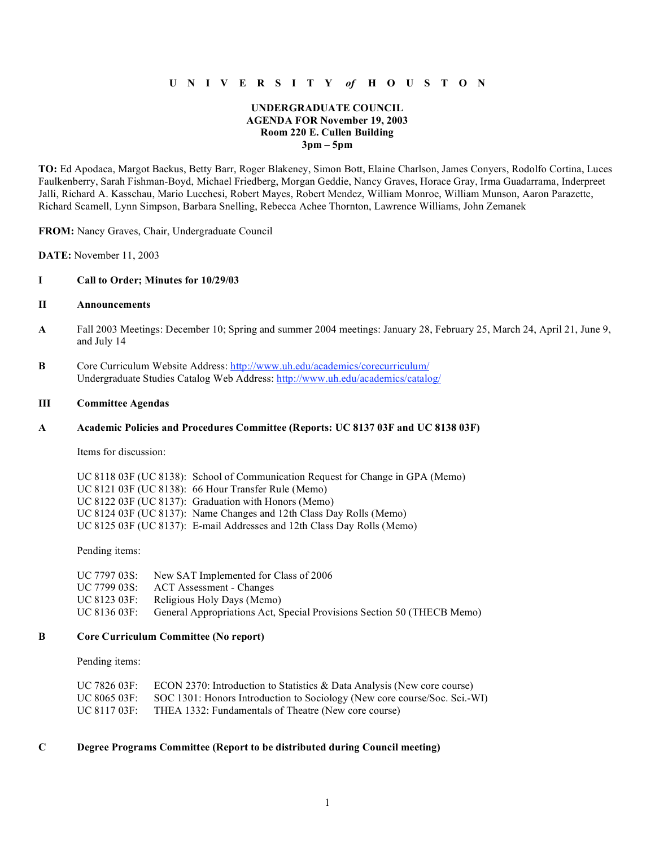# **U N I V E R S I T Y** *of* **H O U S T O N**

## **UNDERGRADUATE COUNCIL AGENDA FOR November 19, 2003 Room 220 E. Cullen Building 3pm – 5pm**

**TO:** Ed Apodaca, Margot Backus, Betty Barr, Roger Blakeney, Simon Bott, Elaine Charlson, James Conyers, Rodolfo Cortina, Luces Faulkenberry, Sarah Fishman-Boyd, Michael Friedberg, Morgan Geddie, Nancy Graves, Horace Gray, Irma Guadarrama, Inderpreet Jalli, Richard A. Kasschau, Mario Lucchesi, Robert Mayes, Robert Mendez, William Monroe, William Munson, Aaron Parazette, Richard Scamell, Lynn Simpson, Barbara Snelling, Rebecca Achee Thornton, Lawrence Williams, John Zemanek

**FROM:** Nancy Graves, Chair, Undergraduate Council

**DATE:** November 11, 2003

## **I Call to Order; Minutes for 10/29/03**

## **II Announcements**

- **A** Fall 2003 Meetings: December 10; Spring and summer 2004 meetings: January 28, February 25, March 24, April 21, June 9, and July 14
- **B** Core Curriculum Website Address: http://www.uh.edu/academics/corecurriculum/ Undergraduate Studies Catalog Web Address: http://www.uh.edu/academics/catalog/

#### **III Committee Agendas**

#### **A Academic Policies and Procedures Committee (Reports: UC 8137 03F and UC 8138 03F)**

Items for discussion:

| UC 8118 03F (UC 8138): School of Communication Request for Change in GPA (Memo) |
|---------------------------------------------------------------------------------|
| UC 8121 03F (UC 8138): 66 Hour Transfer Rule (Memo)                             |
| UC 8122 03F (UC 8137): Graduation with Honors (Memo)                            |
| UC 8124 03F (UC 8137): Name Changes and 12th Class Day Rolls (Memo)             |
| UC 8125 03F (UC 8137): E-mail Addresses and 12th Class Day Rolls (Memo)         |

Pending items:

| UC 7797 03S: | New SAT Implemented for Class of 2006                                  |
|--------------|------------------------------------------------------------------------|
| UC 7799 03S: | ACT Assessment - Changes                                               |
| UC 8123 03F: | Religious Holy Days (Memo)                                             |
| UC 8136 03F: | General Appropriations Act, Special Provisions Section 50 (THECB Memo) |

## **B Core Curriculum Committee (No report)**

Pending items:

| UC 7826 03F: | ECON 2370: Introduction to Statistics $\&$ Data Analysis (New core course) |
|--------------|----------------------------------------------------------------------------|
| UC 8065 03F: | SOC 1301: Honors Introduction to Sociology (New core course/Soc. Sci.-WI)  |
| UC 8117 03F: | THEA 1332: Fundamentals of Theatre (New core course)                       |

## **C Degree Programs Committee (Report to be distributed during Council meeting)**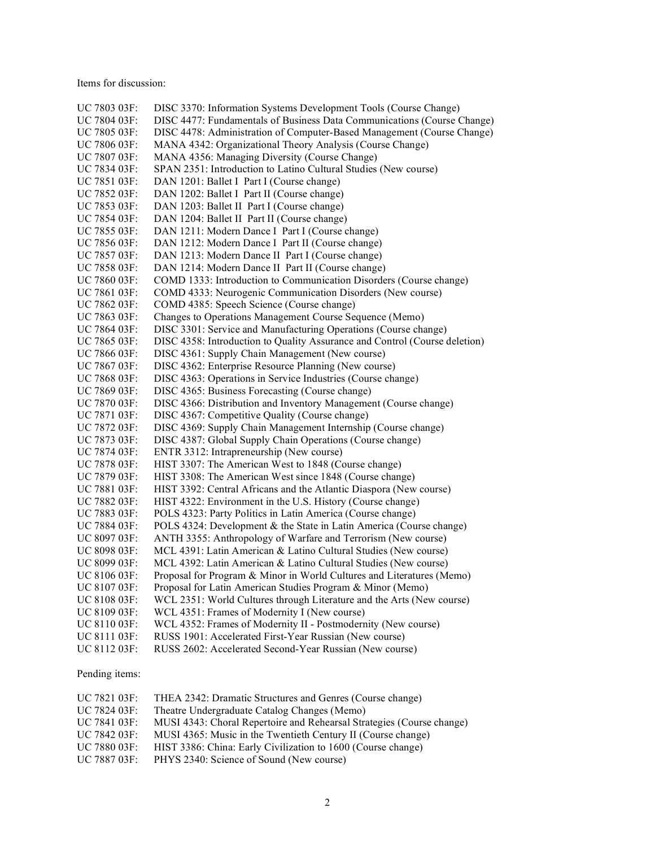Items for discussion:

| UC 7803 03F: | DISC 3370: Information Systems Development Tools (Course Change)           |
|--------------|----------------------------------------------------------------------------|
| UC 7804 03F: | DISC 4477: Fundamentals of Business Data Communications (Course Change)    |
| UC 7805 03F: | DISC 4478: Administration of Computer-Based Management (Course Change)     |
| UC 7806 03F: | MANA 4342: Organizational Theory Analysis (Course Change)                  |
| UC 7807 03F: | MANA 4356: Managing Diversity (Course Change)                              |
| UC 7834 03F: | SPAN 2351: Introduction to Latino Cultural Studies (New course)            |
| UC 7851 03F: | DAN 1201: Ballet I Part I (Course change)                                  |
| UC 7852 03F: | DAN 1202: Ballet I Part II (Course change)                                 |
| UC 7853 03F: | DAN 1203: Ballet II Part I (Course change)                                 |
| UC 7854 03F: | DAN 1204: Ballet II Part II (Course change)                                |
| UC 7855 03F: | DAN 1211: Modern Dance I Part I (Course change)                            |
| UC 7856 03F: | DAN 1212: Modern Dance I Part II (Course change)                           |
| UC 7857 03F: | DAN 1213: Modern Dance II Part I (Course change)                           |
| UC 7858 03F: | DAN 1214: Modern Dance II Part II (Course change)                          |
| UC 7860 03F: | COMD 1333: Introduction to Communication Disorders (Course change)         |
| UC 7861 03F: | COMD 4333: Neurogenic Communication Disorders (New course)                 |
| UC 7862 03F: | COMD 4385: Speech Science (Course change)                                  |
| UC 7863 03F: | Changes to Operations Management Course Sequence (Memo)                    |
| UC 7864 03F: | DISC 3301: Service and Manufacturing Operations (Course change)            |
| UC 7865 03F: | DISC 4358: Introduction to Quality Assurance and Control (Course deletion) |
| UC 7866 03F: | DISC 4361: Supply Chain Management (New course)                            |
| UC 7867 03F: | DISC 4362: Enterprise Resource Planning (New course)                       |
| UC 7868 03F: | DISC 4363: Operations in Service Industries (Course change)                |
| UC 7869 03F: | DISC 4365: Business Forecasting (Course change)                            |
| UC 7870 03F: | DISC 4366: Distribution and Inventory Management (Course change)           |
| UC 7871 03F: | DISC 4367: Competitive Quality (Course change)                             |
| UC 7872 03F: | DISC 4369: Supply Chain Management Internship (Course change)              |
| UC 7873 03F: | DISC 4387: Global Supply Chain Operations (Course change)                  |
| UC 7874 03F: | ENTR 3312: Intrapreneurship (New course)                                   |
| UC 7878 03F: | HIST 3307: The American West to 1848 (Course change)                       |
| UC 7879 03F: | HIST 3308: The American West since 1848 (Course change)                    |
| UC 7881 03F: | HIST 3392: Central Africans and the Atlantic Diaspora (New course)         |
| UC 7882 03F: | HIST 4322: Environment in the U.S. History (Course change)                 |
| UC 7883 03F: | POLS 4323: Party Politics in Latin America (Course change)                 |
| UC 7884 03F: | POLS 4324: Development & the State in Latin America (Course change)        |
| UC 8097 03F: | ANTH 3355: Anthropology of Warfare and Terrorism (New course)              |
| UC 8098 03F: | MCL 4391: Latin American & Latino Cultural Studies (New course)            |
| UC 8099 03F: | MCL 4392: Latin American & Latino Cultural Studies (New course)            |
| UC 8106 03F: | Proposal for Program & Minor in World Cultures and Literatures (Memo)      |
| UC 8107 03F: | Proposal for Latin American Studies Program & Minor (Memo)                 |
| UC 8108 03F: | WCL 2351: World Cultures through Literature and the Arts (New course)      |
| UC 8109 03F: | WCL 4351: Frames of Modernity I (New course)                               |
| UC 8110 03F: | WCL 4352: Frames of Modernity II - Postmodernity (New course)              |
| UC 8111 03F: | RUSS 1901: Accelerated First-Year Russian (New course)                     |
| UC 8112 03F: | RUSS 2602: Accelerated Second-Year Russian (New course)                    |

Pending items:

| UC 7821 03F:             | THEA 2342: Dramatic Structures and Genres (Course change)             |
|--------------------------|-----------------------------------------------------------------------|
| UC 7824 03F:             | Theatre Undergraduate Catalog Changes (Memo)                          |
| UC 7841 03F:             | MUSI 4343: Choral Repertoire and Rehearsal Strategies (Course change) |
| $\overline{C}$ 7842 03F: | MUSI 4365: Music in the Twentieth Century II (Course change)          |
| UC 7880 03F:             | HIST 3386: China: Early Civilization to 1600 (Course change)          |
| UC 7887 03F:             | PHYS 2340: Science of Sound (New course)                              |
|                          |                                                                       |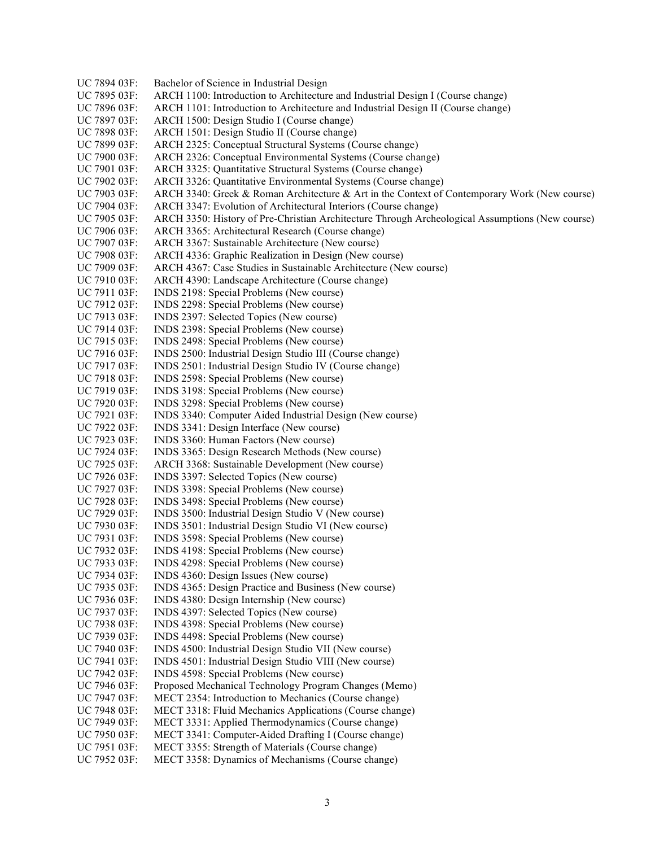UC 7894 03F: Bachelor of Science in Industrial Design UC 7895 03F: ARCH 1100: Introduction to Architecture and Industrial Design I (Course change) UC 7896 03F: ARCH 1101: Introduction to Architecture and Industrial Design II (Course change) UC 7897 03F: ARCH 1500: Design Studio I (Course change) UC 7898 03F: ARCH 1501: Design Studio II (Course change) UC 7899 03F: ARCH 2325: Conceptual Structural Systems (Course change) UC 7900 03F: ARCH 2326: Conceptual Environmental Systems (Course change) UC 7901 03F: ARCH 3325: Quantitative Structural Systems (Course change) UC 7902 03F: ARCH 3326: Quantitative Environmental Systems (Course change) UC 7903 03F: ARCH 3340: Greek & Roman Architecture & Art in the Context of Contemporary Work (New course) UC 7904 03F: ARCH 3347: Evolution of Architectural Interiors (Course change) UC 7905 03F: ARCH 3350: History of Pre-Christian Architecture Through Archeological Assumptions (New course) UC 7906 03F: ARCH 3365: Architectural Research (Course change) UC 7907 03F: ARCH 3367: Sustainable Architecture (New course) UC 7908 03F: ARCH 4336: Graphic Realization in Design (New course) UC 7909 03F: ARCH 4367: Case Studies in Sustainable Architecture (New course) UC 7910 03F: ARCH 4390: Landscape Architecture (Course change) UC 7911 03F: INDS 2198: Special Problems (New course) UC 7912 03F: INDS 2298: Special Problems (New course) UC 7913 03F: INDS 2397: Selected Topics (New course) UC 7914 03F: INDS 2398: Special Problems (New course) UC 7915 03F: INDS 2498: Special Problems (New course) UC 7916 03F: INDS 2500: Industrial Design Studio III (Course change) UC 7917 03F: INDS 2501: Industrial Design Studio IV (Course change) UC 7918 03F: INDS 2598: Special Problems (New course) UC 7919 03F: INDS 3198: Special Problems (New course) UC 7920 03F: INDS 3298: Special Problems (New course) UC 7921 03F: INDS 3340: Computer Aided Industrial Design (New course) UC 7922 03F: INDS 3341: Design Interface (New course) UC 7923 03F: INDS 3360: Human Factors (New course) UC 7924 03F: INDS 3365: Design Research Methods (New course) UC 7925 03F: ARCH 3368: Sustainable Development (New course) UC 7926 03F: INDS 3397: Selected Topics (New course) UC 7927 03F: INDS 3398: Special Problems (New course) UC 7928 03F: INDS 3498: Special Problems (New course) UC 7929 03F: INDS 3500: Industrial Design Studio V (New course) UC 7930 03F: INDS 3501: Industrial Design Studio VI (New course) UC 7931 03F: INDS 3598: Special Problems (New course) UC 7932 03F: INDS 4198: Special Problems (New course) UC 7933 03F: INDS 4298: Special Problems (New course) UC 7934 03F: INDS 4360: Design Issues (New course)<br>UC 7935 03F: INDS 4365: Design Practice and Busines INDS 4365: Design Practice and Business (New course) UC 7936 03F: INDS 4380: Design Internship (New course) UC 7937 03F: INDS 4397: Selected Topics (New course) UC 7938 03F: INDS 4398: Special Problems (New course) UC 7939 03F: INDS 4498: Special Problems (New course) UC 7940 03F: INDS 4500: Industrial Design Studio VII (New course) UC 7941 03F: INDS 4501: Industrial Design Studio VIII (New course) UC 7942 03F: INDS 4598: Special Problems (New course) UC 7946 03F: Proposed Mechanical Technology Program Changes (Memo) UC 7947 03F: MECT 2354: Introduction to Mechanics (Course change) UC 7948 03F: MECT 3318: Fluid Mechanics Applications (Course change) UC 7949 03F: MECT 3331: Applied Thermodynamics (Course change) UC 7950 03F: MECT 3341: Computer-Aided Drafting I (Course change) UC 7951 03F: MECT 3355: Strength of Materials (Course change) UC 7952 03F: MECT 3358: Dynamics of Mechanisms (Course change)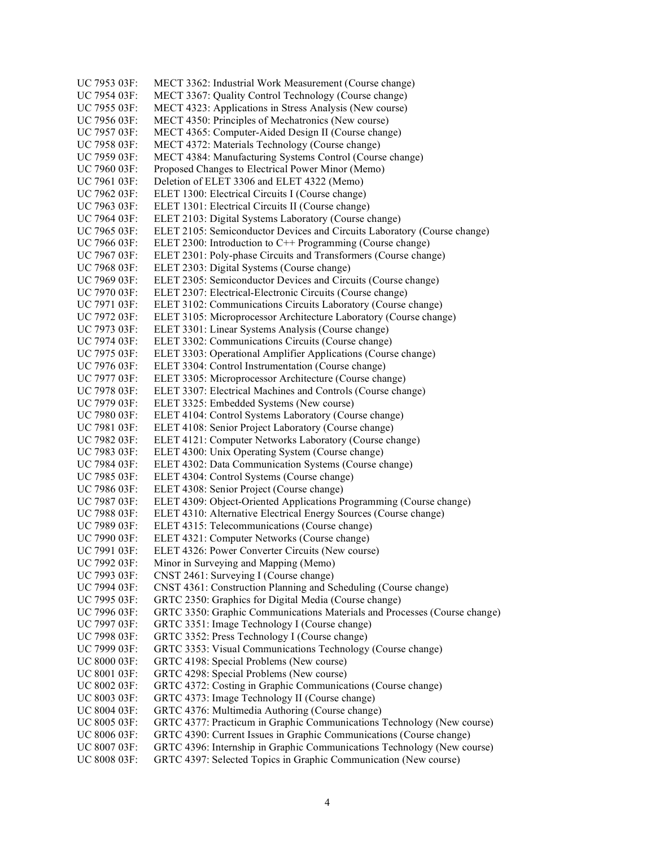UC 7953 03F: MECT 3362: Industrial Work Measurement (Course change) UC 7954 03F: MECT 3367: Quality Control Technology (Course change) UC 7955 03F: MECT 4323: Applications in Stress Analysis (New course) UC 7956 03F: MECT 4350: Principles of Mechatronics (New course) UC 7957 03F: MECT 4365: Computer-Aided Design II (Course change) UC 7958 03F: MECT 4372: Materials Technology (Course change) UC 7959 03F: MECT 4384: Manufacturing Systems Control (Course change) UC 7960 03F: Proposed Changes to Electrical Power Minor (Memo) UC 7961 03F: Deletion of ELET 3306 and ELET 4322 (Memo) UC 7962 03F: ELET 1300: Electrical Circuits I (Course change) UC 7963 03F: ELET 1301: Electrical Circuits II (Course change) UC 7964 03F: ELET 2103: Digital Systems Laboratory (Course change) UC 7965 03F: ELET 2105: Semiconductor Devices and Circuits Laboratory (Course change) UC 7966 03F: ELET 2300: Introduction to C++ Programming (Course change) UC 7967 03F: ELET 2301: Poly-phase Circuits and Transformers (Course change) UC 7968 03F: ELET 2303: Digital Systems (Course change) UC 7969 03F: ELET 2305: Semiconductor Devices and Circuits (Course change) UC 7970 03F: ELET 2307: Electrical-Electronic Circuits (Course change) UC 7971 03F: ELET 3102: Communications Circuits Laboratory (Course change) UC 7972 03F: ELET 3105: Microprocessor Architecture Laboratory (Course change) UC 7973 03F: ELET 3301: Linear Systems Analysis (Course change) UC 7974 03F: ELET 3302: Communications Circuits (Course change) UC 7975 03F: ELET 3303: Operational Amplifier Applications (Course change) UC 7976 03F: ELET 3304: Control Instrumentation (Course change) UC 7977 03F: ELET 3305: Microprocessor Architecture (Course change) UC 7978 03F: ELET 3307: Electrical Machines and Controls (Course change) UC 7979 03F: ELET 3325: Embedded Systems (New course) UC 7980 03F: ELET 4104: Control Systems Laboratory (Course change) UC 7981 03F: ELET 4108: Senior Project Laboratory (Course change) UC 7982 03F: ELET 4121: Computer Networks Laboratory (Course change) UC 7983 03F: ELET 4300: Unix Operating System (Course change) UC 7984 03F: ELET 4302: Data Communication Systems (Course change) UC 7985 03F: ELET 4304: Control Systems (Course change) UC 7986 03F: ELET 4308: Senior Project (Course change) UC 7987 03F: ELET 4309: Object-Oriented Applications Programming (Course change) UC 7988 03F: ELET 4310: Alternative Electrical Energy Sources (Course change) UC 7989 03F: ELET 4315: Telecommunications (Course change) UC 7990 03F: ELET 4321: Computer Networks (Course change) UC 7991 03F: ELET 4326: Power Converter Circuits (New course) UC 7992 03F: Minor in Surveying and Mapping (Memo) UC 7993 03F: CNST 2461: Surveying I (Course change) UC 7994 03F: CNST 4361: Construction Planning and Scheduling (Course change) UC 7995 03F: GRTC 2350: Graphics for Digital Media (Course change) UC 7996 03F: GRTC 3350: Graphic Communications Materials and Processes (Course change) UC 7997 03F: GRTC 3351: Image Technology I (Course change) UC 7998 03F: GRTC 3352: Press Technology I (Course change) UC 7999 03F: GRTC 3353: Visual Communications Technology (Course change) UC 8000 03F: GRTC 4198: Special Problems (New course) UC 8001 03F: GRTC 4298: Special Problems (New course) UC 8002 03F: GRTC 4372: Costing in Graphic Communications (Course change) UC 8003 03F: GRTC 4373: Image Technology II (Course change) UC 8004 03F: GRTC 4376: Multimedia Authoring (Course change) UC 8005 03F: GRTC 4377: Practicum in Graphic Communications Technology (New course) UC 8006 03F: GRTC 4390: Current Issues in Graphic Communications (Course change) UC 8007 03F: GRTC 4396: Internship in Graphic Communications Technology (New course) UC 8008 03F: GRTC 4397: Selected Topics in Graphic Communication (New course)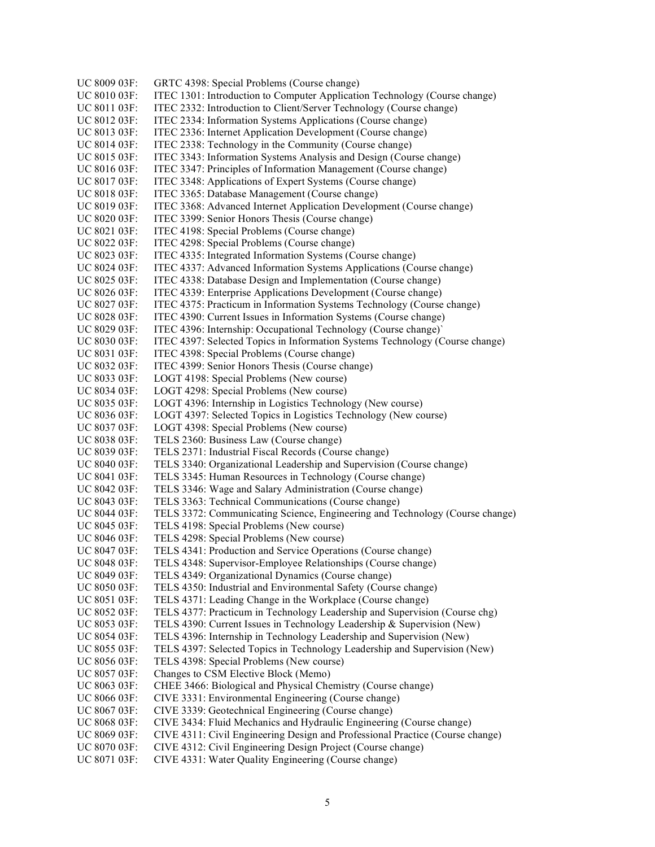UC 8009 03F: GRTC 4398: Special Problems (Course change) UC 8010 03F: ITEC 1301: Introduction to Computer Application Technology (Course change) UC 8011 03F: ITEC 2332: Introduction to Client/Server Technology (Course change) UC 8012 03F: ITEC 2334: Information Systems Applications (Course change) UC 8013 03F: ITEC 2336: Internet Application Development (Course change) UC 8014 03F: ITEC 2338: Technology in the Community (Course change) UC 8015 03F: ITEC 3343: Information Systems Analysis and Design (Course change) UC 8016 03F: ITEC 3347: Principles of Information Management (Course change) UC 8017 03F: ITEC 3348: Applications of Expert Systems (Course change) UC 8018 03F: ITEC 3365: Database Management (Course change) UC 8019 03F: ITEC 3368: Advanced Internet Application Development (Course change) UC 8020 03F: ITEC 3399: Senior Honors Thesis (Course change) UC 8021 03F: ITEC 4198: Special Problems (Course change) UC 8022 03F: ITEC 4298: Special Problems (Course change) UC 8023 03F: ITEC 4335: Integrated Information Systems (Course change) UC 8024 03F: ITEC 4337: Advanced Information Systems Applications (Course change) UC 8025 03F: ITEC 4338: Database Design and Implementation (Course change) UC 8026 03F: ITEC 4339: Enterprise Applications Development (Course change) UC 8027 03F: ITEC 4375: Practicum in Information Systems Technology (Course change) UC 8028 03F: ITEC 4390: Current Issues in Information Systems (Course change) UC 8029 03F: ITEC 4396: Internship: Occupational Technology (Course change)` UC 8030 03F: ITEC 4397: Selected Topics in Information Systems Technology (Course change) UC 8031 03F: ITEC 4398: Special Problems (Course change) UC 8032 03F: ITEC 4399: Senior Honors Thesis (Course change) UC 8033 03F: LOGT 4198: Special Problems (New course) UC 8034 03F: LOGT 4298: Special Problems (New course) UC 8035 03F: LOGT 4396: Internship in Logistics Technology (New course) UC 8036 03F: LOGT 4397: Selected Topics in Logistics Technology (New course) UC 8037 03F: LOGT 4398: Special Problems (New course) UC 8038 03F: TELS 2360: Business Law (Course change) UC 8039 03F: TELS 2371: Industrial Fiscal Records (Course change) UC 8040 03F: TELS 3340: Organizational Leadership and Supervision (Course change) UC 8041 03F: TELS 3345: Human Resources in Technology (Course change) UC 8042 03F: TELS 3346: Wage and Salary Administration (Course change) UC 8043 03F: TELS 3363: Technical Communications (Course change) UC 8044 03F: TELS 3372: Communicating Science, Engineering and Technology (Course change) UC 8045 03F: TELS 4198: Special Problems (New course) UC 8046 03F: TELS 4298: Special Problems (New course) UC 8047 03F: TELS 4341: Production and Service Operations (Course change) UC 8048 03F: TELS 4348: Supervisor-Employee Relationships (Course change) UC 8049 03F: TELS 4349: Organizational Dynamics (Course change) UC 8050 03F: TELS 4350: Industrial and Environmental Safety (Course change) UC 8051 03F: TELS 4371: Leading Change in the Workplace (Course change) UC 8052 03F: TELS 4377: Practicum in Technology Leadership and Supervision (Course chg) UC 8053 03F: TELS 4390: Current Issues in Technology Leadership & Supervision (New) UC 8054 03F: TELS 4396: Internship in Technology Leadership and Supervision (New) UC 8055 03F: TELS 4397: Selected Topics in Technology Leadership and Supervision (New) UC 8056 03F: TELS 4398: Special Problems (New course) UC 8057 03F: Changes to CSM Elective Block (Memo) UC 8063 03F: CHEE 3466: Biological and Physical Chemistry (Course change) UC 8066 03F: CIVE 3331: Environmental Engineering (Course change) UC 8067 03F: CIVE 3339: Geotechnical Engineering (Course change) UC 8068 03F: CIVE 3434: Fluid Mechanics and Hydraulic Engineering (Course change) UC 8069 03F: CIVE 4311: Civil Engineering Design and Professional Practice (Course change) UC 8070 03F: CIVE 4312: Civil Engineering Design Project (Course change) UC 8071 03F: CIVE 4331: Water Quality Engineering (Course change)